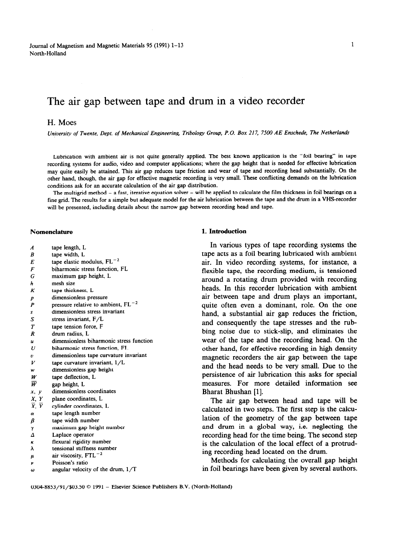Journal of Magnetism and Magnetic Materials 95 (1991) 1-13 North-Holland

# The air gap between tape and drum in a video recorder

# **H.** Moes

*University of Twente, Dept. of Mechanical Engineering, Tribologv Group, P.O. Box 217, 7500 AE Enschede,* The Ne!herlands

Lubrication with ambient air is not quite generally applied. The best known application is the "foil bearing" in tape recording systems for audio, video and computer applications; where the gap height that is needed for effective lubrication may quite easily be attained. This air gap reduces tape friction and wear of tape and recording head substantially. On the other hand, though, the air gap for effective magnetic recording is very small. These conflicting demands on the lubrication conditions ask for an accurate calculation of the air gap distribution.

The multigrid method - a fast, iterative equation solver - will be applied to calculate the film thickness in foil bearings on a fine grid. The results for a simple but adequate model for the air lubrication between the tape and the drum in a VHS-recorder will be presented, including details about the narrow gap between recording head and tape.

- *A B E F*  tape length, L tape width, L tape elastic modulus,  $FL^{-2}$ biharmonic stress function, FL
- *G*  maximum gap height, L
- *h*  mesh size
- *K*  tape thickness, L
- *P*  dimensionless pressure
- *P*  pressure relative to ambient,  $FL^{-2}$
- *s*  dimensionless stress invariant
- *s*  stress invariant, F/L
- *T*  tape tension force, F
- *R*  drum radius, L
- *u*  dimensionless biharmonic stress function
- *u*  biharmonic stress function, FL
- *V*  dimensionless tape curvature invariant
- *V*  tape curvature invariant, l/L
- *w*  dimensionless gap height
- *W*  tape deflection, L
- *w*  gap height, L
- *x*, *y* dimensionless coordinates
- *x y*  plane coordinates, L
- *x y*  cylinder coordinates, L
- $\alpha$ tape length number
- $\beta$ tape width number
- *Y*  maximum gap height number
- *A*  Laplace operator
- flexural rigidity number  $\boldsymbol{\kappa}$
- *;:*  tensional stiffness number
- *Ir*  air viscosity,  $FTL^{-2}$
- *p*  Poisson's ratio
- *w*  angular velocity of the drum,  $1/T$

# **Nomenclature 1. Introduction 1. Introduction**

In various types of tape recording systems the tape acts as a foil bearing lubricated with ambient air. In video recording systems, for instance, a flexible tape, the recording medium, is tensioned around a rotating drum provided with recording heads. In this recorder lubrication with ambient air between tape and drum plays an important, quite often even a dominant, role. On the one hand, a substantial air gap reduces the friction, and consequently the tape stresses and the rubbing noise due to stick-slip, and eliminates the wear of the tape and the recording head. On the other hand, for effective recording in high density magnetic recorders the air gap between the tape and the head needs to be very small. Due to the persistence of air lubrication this asks for special measures. For more detailed information see Bharat Bhushan [l].

The air gap between head and tape will be calculated in two steps. The first step is the calculation of the geometry of the gap between tape and drum in a global way, i.e. neglecting the recording head for the time being. The second step is the calculation of the local effect of a protruding recording head located on the drum.

Methods for calculating the overall gap height in foil bearings have been given by several authors.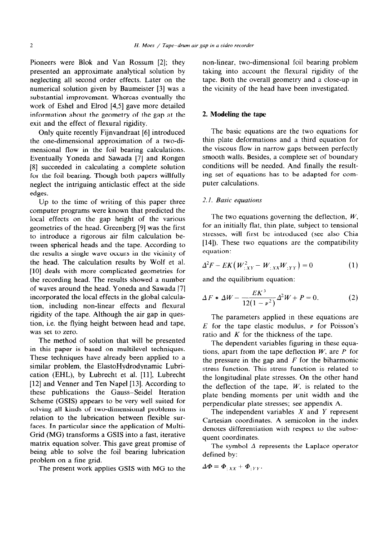Pioneers were Blok and Van Rossum [2]; they presented an approximate analytical solution by neglecting all second order effects. Later on the numerical solution given by Baumeister [3] was a substantial improvement. Whereas eventually the work of Eshel and Elrod [4,5] gave more detailed information about the geometry of the gap at the exit and the effect of flexural rigidity.

Only quite recently Fijnvandraat [6] introduced the one-dimensional approximation of a two-dimensional flow in the foil bearing calculations. Eventually Yoneda and Sawada [7] and Rongen [S] succeeded in calculating a complete solution for the foil bearing. Though both papers willfully neglect the intriguing anticlastic effect at the side edges.

Up to the time of writing of this paper three computer programs were known that predicted the local effects on the gap height of the various geometries of the head. Greenberg [9] was the first to introduce a rigorous air film calculation between spherical heads and the tape. According to the results a single wave occurs in the vicinity of the head. The calculation results by Wolf et al. [10] deals with more complicated geometries for the recording head. The results showed a number of waves around the head. Yoneda and Sawada [7] incorporated the local effects in the global calculation, including non-linear effects and flexural rigidity of the tape. Although the air gap in question, i.e. the flying height between head and tape, was set to zero.

The method of solution that will be presented in this paper is based on multilevel techniques. These techniques have already been applied to a similar problem, the ElastoHydrodynamic Lubrication (EHL), by Lubrecht et al. [ll], Lubrecht [12] and Venner and Ten Napel [13]. According to these publications the Gauss-Seidei Iteration Scheme (GSIS) appears to be very well suited for solving all kinds of two-dimensional problems in relation to the lubrication between flexible surfaces. In particular since the application of Multi-Grid (MG) transforms a GSIS into a fast, iterative matrix equation solver. This gave great promise of being able to solve the foil bearing lubrication problem on a fine grid.

The present work applies GSIS with MG to the  $\Delta \Phi = \Phi_{:XX} + \Phi_{:YY}$ .

non-linear, two-dimensional foil bearing problem taking into account the flexural rigidity of the tape. Both the overall geometry and a close-up in the vicinity of the head have been investigated.

#### 2. **Modeling the tape**

The basic equations are the two equations for thin plate deformations and a third equation for the viscous flow in narrow gaps between perfectly smooth walls. Besides, a complete set of boundary conditions will be needed. And finally the resulting set of equations has to be adapted for computer calculations.

#### 2.1. *Basic equations*

The two equations governing the deflection, *W,*  for an initially flat, thin plate, subject to tensional stresses, will first be introduced (see also Chia [14]). These two equations are the compatibility equation:

$$
\Delta^2 F - E K \left( W_{;XY}^2 - W_{;XX} W_{;YY} \right) = 0 \tag{1}
$$

and the equilibrium equation:

$$
\Delta F * \Delta W - \frac{EK^3}{12(1 - \nu^2)} \Delta^2 W + P = 0. \tag{2}
$$

The parameters applied in these equations are  $E$  for the tape elastic modulus,  $\nu$  for Poisson's ratio and *K* for the thickness of the tape.

The dependent variables figuring in these equations, apart from the tape deflection *W,* are *P* for the pressure in the gap and *F* for the biharmonic stress function. This stress function is related to the longitudinal plate stresses. On the other hand the deflection of the tape,  $W$ , is related to the plate bending moments per unit width and the perpendicular plate stresses; see appendix A.

The independent variables  $X$  and  $Y$  represent Cartesian coordinates. A semicolon in the index denotes differentiation with respect to the subsequent coordinates.

The symbol  $\Delta$  represents the Laplace operator defined by: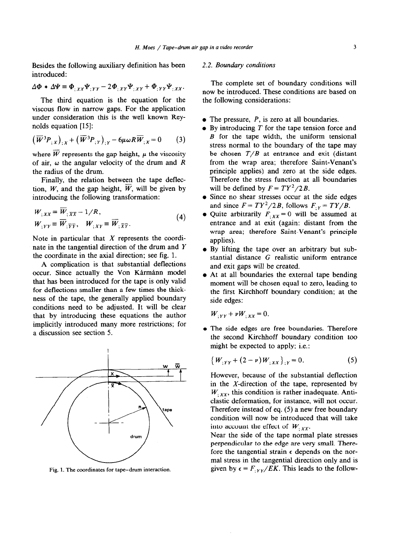Besides the following auxiliary definition has been introduced:

$$
\Delta \Phi * \Delta \Psi \equiv \Phi_{;XX} \Psi_{;YY} - 2\Phi_{;XY} \Psi_{;XY} + \Phi_{;YY} \Psi_{;XX}.
$$

The third equation is the equation for the viscous flow in narrow gaps. For the application under consideration this is the well known Reynolds equation [15]:

$$
(\overline{W}^3 P_{;X})_{;X} + (\overline{W}^3 P_{;Y})_{;Y} - 6\mu \omega R \overline{W}_{;X} = 0 \qquad (3)
$$

where  $\overline{W}$  represents the gap height,  $\mu$  the viscosity of air,  $\omega$  the angular velocity of the drum and *R* the radius of the drum.

Finally, the relation between the tape deflection, *W*, and the gap height,  $\overline{W}$ , will be given by introducing the following transformation:

$$
W_{;XX} \equiv W_{; \overline{XX}} - 1/R,
$$
  
\n
$$
W_{;YY} \equiv \overline{W}_{; \overline{YY}}, \quad W_{;XY} \equiv \overline{W}_{; \overline{XY}}.
$$
\n(4)

Note in particular that  $X$  represents the coordinate in the tangential direction of the drum and Y the coordinate in the axial direction: see fig. 1.

A complication is that substantial deflections occur. Since actually the Von Kármánn model that has been introduced for the tape is only valid for deflections smaller than a few times the thickness of the tape, the generally applied boundary conditions need to be adjusted. It will be clear that by introducing these equations the author implicitly introduced many more restrictions; for a discussion see section 5.



**Fig. 1. The coordinates for tape-drum interaction.** 

#### 2.2. *Boundary conditions*

The complete set of boundary conditions will now be introduced. These conditions are based on the following considerations:

- The pressure, *P*, is zero at all boundaries.
- By introducing *T* for the tape tension force and *B* for the tape width, the uniform tensional stress normal to the boundary of the tape may be chosen  $T/B$  at entrance and exit (distant from the wrap area; therefore Saint-Venant's principle applies) and zero at the side edges. Therefore the stress function at all boundaries will be defined by  $F = T Y^2 / 2B$ .
- Since no shear stresses occur at the side edges and since  $F = T Y^2 / 2B$ , follows  $F_{Y} = T Y / B$ .
- Quite arbitrarily  $F_{XX} = 0$  will be assumed at entrance and at exit (again: distant from the wrap area; therefore Saint-Venant's principle applies).
- By lifting the tape over an arbitrary but substantial distance G realistic uniform entrance and exit gaps will be created.
- At at all boundaries the external tape bending moment will be chosen equal to zero, leading to the first Kirchhoff boundary condition; at the side edges:

$$
W_{:YY} + \nu W_{:XX} = 0.
$$

The side edges are free boundaries. Therefore the second Kirchhoff boundary condition too might be expected to apply; i.e.:

$$
\{W_{;YY} + (2 - \nu)W_{;XX}\}_{;Y} = 0. \tag{5}
$$

However, because of the substantial deflection in the X-direction of the tape, represented by  $W_{\chi_{xx}}$ , this condition is rather inadequate. Antielastic deformation, for instance, will not occur. Therefore instead of eq. (5) a new free boundary condition will now be introduced that will take into account the effect of  $W_{\gamma}$ .

Near the side of the tape normal plate stresses perpendicular to the edge are very small. Therefore the tangential strain  $\epsilon$  depends on the normal stress in the tangential direction only and is given by  $\epsilon = F_{:YY}/EK$ . This leads to the follow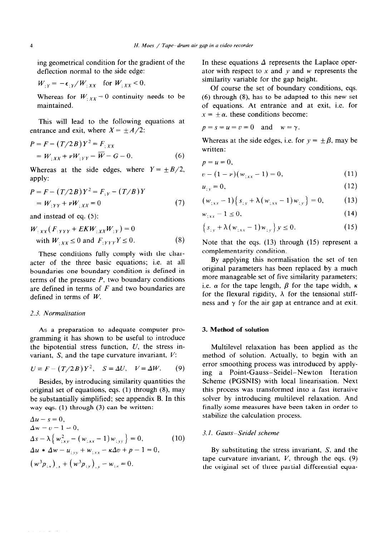ing geometrical condition for the gradient of the deflection normal to the side edge:

$$
W_{;Y} = -\epsilon_{;Y}/W_{;XX} \quad \text{for } W_{;XX} < 0.
$$

Whereas for  $W_{;XX} = 0$  continuity needs to be maintained.

This will lead to the following equations at entrance and exit, where  $X = \pm A/2$ :

$$
P = F - (T/2B)Y^2 = F_{;XX}
$$
  
=  $W_{;XX} + \nu W_{;YY} = \overline{W} - G = 0.$  (6)

Whereas at the side edges, where  $Y = \pm B/2$ , apply:

$$
P = F - (T/2B)Y^2 = F_{,Y} - (T/B)Y
$$
  
=  $W_{,YY} + \nu W_{,XX} = 0$  (7)

and instead of eq. (5):

$$
W_{\cdot XX}(F_{\cdot YYY} + EKW_{\cdot XX}W_{\cdot Y}) = 0
$$
  
with  $W_{\cdot XX} \le 0$  and  $F_{\cdot YYY}Y \le 0$ . (8)

These conditions fully comply with the character of the three basic equations; i.e. at all boundaries one boundary condition is defined in terms of the pressure *P,* two boundary conditions are defined in terms of *F* and two boundaries are defined in terms of *W.* 

# *2.3. Normalisation*

As a preparation to adequate computer programming it has shown to be useful to introduce the bipotential stress function,  $U$ , the stress invariant,  $S$ , and the tape curvature invariant,  $V$ :

$$
U \equiv F - (T/2B)Y^2, \quad S \equiv \Delta U, \quad V \equiv \Delta W. \tag{9}
$$

Besides, by introducing similarity quantities the original set of equations, eqs.  $(1)$  through  $(8)$ , may be substantially simplified; see appendix B. In this way eqs. **(1)** through (3) can be written:

$$
\Delta u - s = 0,\Delta w - v - 1 = 0,\Delta s - \lambda \left\{ w_{;xy}^2 - (w_{;xx} - 1) w_{;yy} \right\} = 0, \qquad (10)\Delta u * \Delta w - u_{;yy} + w_{;xx} - \kappa \Delta v + p - 1 = 0,\left( w^3 p_{;x} \right)_{;x} + \left( w^3 p_{;y} \right)_{;y} - w_{;x} = 0.
$$

In these equations  $\Delta$  represents the Laplace operator with respect to  $x$  and  $y$  and  $w$  represents the similarity variable for the gap height.

Of course the set of boundary conditions, eqs.  $(6)$  through  $(8)$ , has to be adapted to this new set of equations. At entrance and at exit, i.e. for  $x = \pm \alpha$ , these conditions become:

$$
p = s = u = v = 0 \quad \text{and} \quad w = \gamma.
$$

Whereas at the side edges, i.e. for  $y = \pm \beta$ , may be written:

$$
p = u = 0,
$$
  
\n
$$
v - (1 - v)(w_{;xx} - 1) = 0,
$$
\n(11)

$$
u_{xy} = 0,\t\t(12)
$$

$$
(w_{;xx}-1)\{s_{;y} + \lambda(w_{;xx}-1)w_{;y}\} = 0, \qquad (13)
$$

$$
w_{\pm xx} - 1 \le 0,\tag{14}
$$

$$
\left\{ s_{;y} + \lambda \left( w_{;xx} - 1 \right) w_{;y} \right\} y \le 0. \tag{15}
$$

Note that the eqs. (13) through (15) represent a complementarity condition.

By applying this normalisation the set of ten original parameters has been replaced by a much more manageable set of five similarity parameters; i.e.  $\alpha$  for the tape length,  $\beta$  for the tape width,  $\kappa$ for the flexural rigidity,  $\lambda$  for the tensional stiffness and  $\gamma$  for the air gap at entrance and at exit.

# 3. **Method of solution**

Multilevel relaxation has been applied as the method of solution. Actually, to begin with an error smoothing process was introduced by applying a Point-Gauss-Seidel-Newton Iteration Scheme (PGSNIS) with local linearisation. Next this process was transformed into a fast iterative solver by introducing multilevel relaxation. And finally some measures have been taken in order to stabilize the calculation process.

# 3. I. *Gauss-Seidel scheme*

By substituting the stress invariant, S, and the tape curvature invariant,  $V$ , through the eqs.  $(9)$ the original set of three partial differential equa-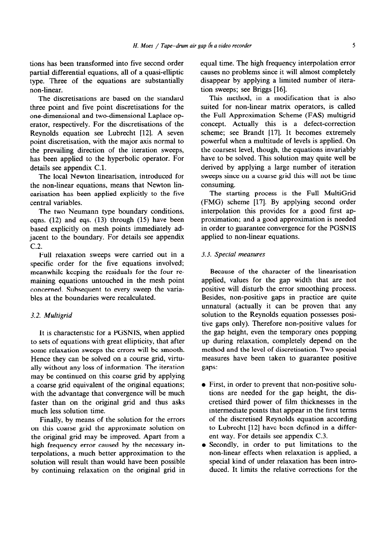tions has been transformed into five second order partial differential equations, all of a quasi-ellipt type. Three of the equations are substantial non-linear.

The discretisations are based on the standard three point and five point discretisations for the one-dimensional and two-dimensional Laplace operator, respectively. For the discretisations of the Reynolds equation see Lubrecht [12]. A seven point discretisation, with the major axis normal to the prevailing direction of the iteration sweeps, has been applied to the hyperbolic operator. For details see appendix C.l.

The local Newton linearisation, introduced for the non-linear equations, means that Newton linearisation has been applied explicitly to the five central variables.

The two Neumann type boundary conditions, eqns.  $(12)$  and eqs.  $(13)$  through  $(15)$  have been based explicitly on mesh points immediately adjacent to the boundary. For details see appendix c.2.

Full relaxation sweeps were carried out in a specific order for the five equations involved; meanwhile keeping the residuals for the four remaining equations untouched in the mesh point concerned. Subsequent to every sweep the variables at the boundaries were recalculated.

# 3.2. *Multigrid*

It is characteristic for a PGSNIS, when applied to sets of equations with great ellipticity, that after some relaxation sweeps the errors will be smooth. Hence they can be solved on a course grid, virtually without any loss of information. The iteration may be continued on this coarse grid by applying a coarse grid equivalent of the original equations; with the advantage that convergence will be much faster than on the original grid and thus asks much less solution time.

Finally, by means of the solution for the errors on this coarse grid the approximate solution on the original grid may be improved. Apart from a high frequency error caused by the necessary interpolations, a much better approximation to the solution will result than would have been possible by continuing relaxation on the original grid in equal time. The high frequency interpolation error causes no problems since it will almost completely disappear by applying a limited number of iteration sweeps; see Briggs [16].

This method, in a modification that is also suited for non-linear matrix operators, is called the Full Approximation Scheme (FAS) multigrid concept. Actually this is a defect-correction scheme; see Brandt [17]. It becomes extremely powerful when a multitude of levels is applied. On the coarsest level, though, the equations invariably have to be solved. This solution may quite well be derived by applying a large number of iteration sweeps since on a coarse grid this will not be time consuming.

The starting process is the Full MultiGrid (FMG) scheme [17]. By applying second order interpolation this provides for a good first approximation; and a good approximation is needed in order to guarantee convergence for the PGSNIS applied to non-linear equations.

# 3.3. *Special measures*

Because of the character of the linearisation applied, values for the gap width that are not positive will disturb the error smoothing process. Besides, non-positive gaps in practice are quite unnatural (actually it can be proven that any solution to the Reynolds equation possesses positive gaps only). Therefore non-positive values for the gap height, even the temporary ones popping up during relaxation, completely depend on the method and the level of discretisation. Two special measures have been taken to guarantee positive gaps:

- First, in order to prevent that non-positive solutions are needed for the gap height, the discretised third power of film thicknesses in the intermediate points that appear in the first terms of the discretised Reynolds equation according to Lubrecht [12] have been defined in a different way. For details see appendix C.3.
- Secondly, in order to put limitations to the non-linear effects when relaxation is applied, a special kind of under relaxation has been introduced. It limits the relative corrections for the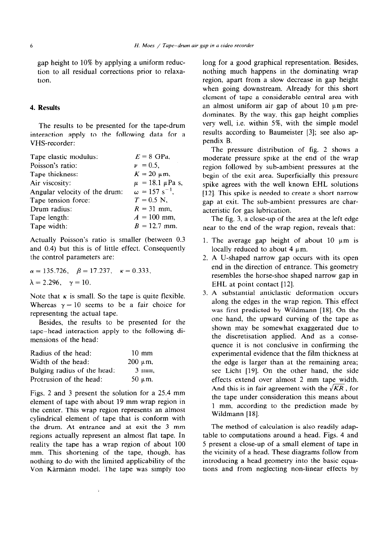gap height to 10% by applying a uniform reduction to all residual corrections prior to relaxation.

# 4. **Results**

The results to be presented for the tape-drum interaction apply to the following data for a VHS-recorder:

| Tape elastic modulus:         | $E = 8$ GPa,                     |
|-------------------------------|----------------------------------|
| Poisson's ratio:              | $\nu = 0.5$ .                    |
| Tape thickness:               | $K = 20 \mu m$ ,                 |
| Air viscosity:                | $\mu = 18.1 \mu Pa$ s,           |
| Angular velocity of the drum: | $\omega = 157$ s <sup>-1</sup> . |
| Tape tension force:           | $T = 0.5$ N,                     |
| Drum radius:                  | $R = 31$ mm,                     |
| Tape length:                  | $A = 100$ mm,                    |
| Tape width:                   | $B = 12.7$ mm.                   |

Actually Poisson's ratio is smaller (between 0.3 and 0.4) but this is of little effect. Consequently the control parameters are:

$$
\alpha = 135.726, \quad \beta = 17.237, \quad \kappa = 0.333,
$$
  
\n $\lambda = 2.296, \quad \gamma = 10.$ 

Note that  $\kappa$  is small. So the tape is quite flexible. Whereas  $\gamma = 10$  seems to be a fair choice for representing the actual tape.

Besides, the results to be presented for the tape-head interaction apply to the following dimensions of the head:

| Radius of the head:         | $10 \text{ mm}$ |
|-----------------------------|-----------------|
| Width of the head:          | $200 \mu m$ ,   |
| Bulging radius of the head: | 3 mm.           |
| Protrusion of the head:     | $50 \mu m$ .    |

Figs. 2 and 3 present the solution for a 25.4 mm element of tape with about 19 mm wrap region in the center. This wrap region represents an almost cylindrical element of tape that is conform with the drum. At entrance and at exit the 3 mm regions actually represent an almost flat tape. In reality the tape has a wrap region of about 100 mm. This shortening of the tape, though, has nothing to do with the limited applicability of the Von Kármánn model. The tape was simply too long for a good graphical representation. Besides, nothing much happens in the dominating wrap region, apart from a slow decrease in gap height when going downstream. Already for this short element of tape a considerable central area with an almost uniform air gap of about  $10 \mu m$  predominates. By the way, this gap height complies very well, i.e. within 5%, with the simple model results according to Baumeister [3]; see also appendix B.

The pressure distribution of fig. 2 shows a moderate pressure spike at the end of the wrap region followed by sub-ambient pressures at the begin of the exit area. Superficially this pressure spike agrees with the well known EHL solutions [12]. This spike is needed to create a short narrow gap at exit. The sub-ambient pressures are characteristic for gas lubrication.

The fig. 3, a close-up of the area at the left edge near to the end of the wrap region, reveals that:

- 1. The average gap height of about 10  $\mu$ m is locally reduced to about 4  $\mu$ m.
- A U-shaped narrow gap occurs with its open end in the direction of entrance. This geometry resembles the horse-shoe shaped narrow gap in EHL at point contact [12].
- A substantial anticlastic deformation occurs along the edges in the wrap region. This effect was first predicted by Wildmann [18]. On the one hand, the upward curving of the tape as shown may be somewhat exaggerated due to the discretisation applied. And as a consequence it is not conclusive in confirming the experimental evidence that the film thickness at the edge is larger than at the remaining area; see Licht [19]. On the other hand, the side effects extend over almost 2 mm tape width. And this is in fair agreement with the  $\sqrt{KR}$ , for the tape under consideration this means about 1 mm, according to the prediction made by Wildmann [18].

The method of calculation is also readily adaptable to computations around a head. Figs. 4 and 5 present a close-up of a small element of tape in the vicinity of a head. These diagrams follow from introducing a head geometry into the basic equations and from neglecting non-linear effects by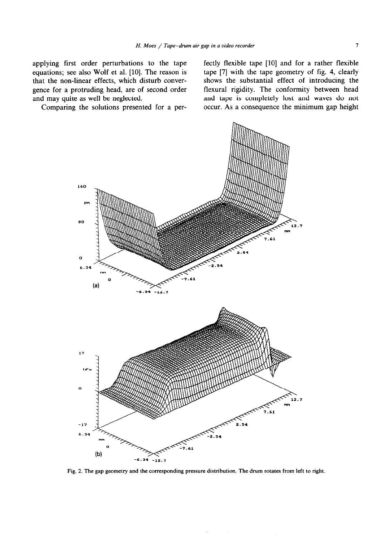applying first order perturbations to the tape equations; see also Wolf et al. [10]. The reason is that the non-linear effects, which disturb convergence for a protruding head, are of second order and may quite as well be neglected.

Comparing the solutions presented for a per-

fectly flexible tape [lo] and for a rather flexible tape [7] with the tape geometry of fig. 4, clearly shows the substantial effect of introducing the flexural rigidity. The conformity between head and tape is completely lost and waves do not occur. As a consequence the minimum gap height



**Fig. 2. The gap geometry and the corresponding pressure distribution. The drum rotates from left to right.**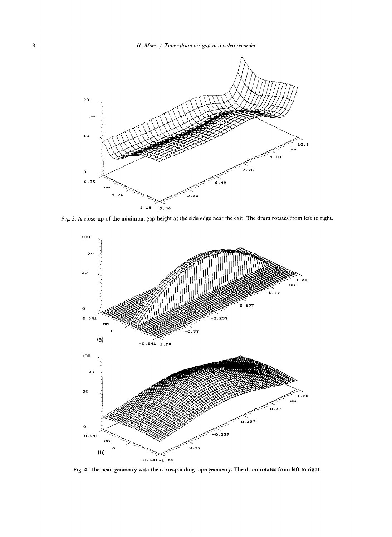

Fig. 3. A close-up of the minimum gap height at the side edge near the exit. The drum rotates from left to right



Fig. 4. The head geometry with the corresponding tape geometry. The drum rotates from left to right.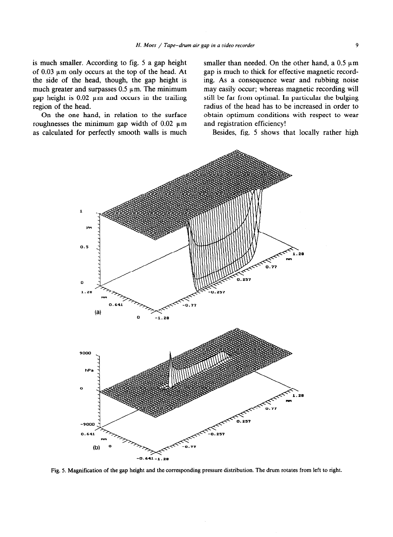is much smaller. According to fig. 5 a gap height of  $0.03 \mu$ m only occurs at the top of the head. At the side of the head, though, the gap height is much greater and surpasses  $0.5 \mu$ m. The minimum gap height is  $0.02 \mu m$  and occurs in the trailing region of the head.

On the one hand, in relation to the surface roughnesses the minimum gap width of  $0.02 \mu m$ as calculated for perfectly smooth walls is much smaller than needed. On the other hand, a  $0.5 \mu m$ gap is much to thick for effective magnetic recording. As a consequence wear and rubbing noise may easily occur; whereas magnetic recording will still be far from optimal. In particular the bulging radius of the head has to be increased in order to obtain optimum conditions with respect to wear and registration efficiency!

Besides, fig. 5 shows that locally rather high



**Fig. 5. Magnification of the gap height and the corresponding pressure distribution. The drum rotates from left to right.**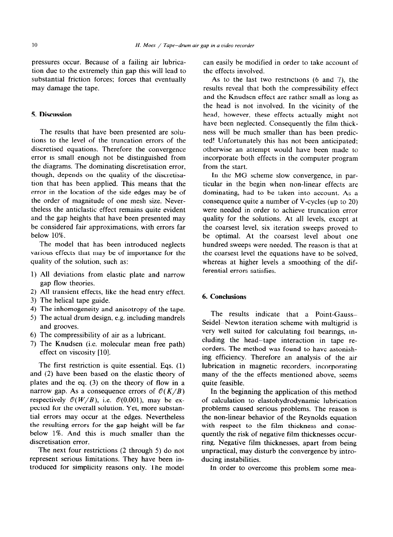pressures occur. Because of a failing air lubrication due to the extremely thin gap this will lead to substantial friction forces; forces that eventually may damage the tape.

# **5. Discussion**

The results that have been presented are solutions to the level of the truncation errors of the discretised equations. Therefore the convergence error is small enough not be distinguished from the diagrams. The dominating discretisation error, though, depends on the quality of the discretisation that has been applied. This means that the error in the location of the side edges may be of the order of magnitude of one mesh size. Nevertheless the anticlastic effect remains quite evident and the gap heights that have been presented may be considered fair approximations, with errors far below 10%.

The model that has been introduced neglects various effects that may be of importance for the quality of the solution, such as:

- 1) All deviations from elastic plate and narrow gap flow theories.
- 2) All transient effects, like the head entry effect.
- **3)**  The helical tape guide.
- **4)**  The inhomogeneity and anisotropy of the tape.
- **5)**  The actual drum design, e.g. including mandrels and grooves.
- **6)**  The compressibility of air as a lubricant.
- **7)**  The Knudsen (i.e. molecular mean free path) effect on viscosity [10].

The first restriction is quite essential. Eqs. (1) and (2) have been based on the elastic theory of plates and the eq. (3) on the theory of flow in a narrow gap. As a consequence errors of  $O(K/B)$ respectively  $O(W/B)$ , i.e.  $O(0.001)$ , may be expected for the overall solution. Yet, more substantial errors may occur at the edges. Nevertheless the resulting errors for the gap height will be far below 1%. And this is much smaller than the discretisation error.

The next four restrictions (2 through 5) do not represent serious limitations. They have been introduced for simplicity reasons only. The model can easily be modified in order to take account of the effects involved.

As to the last two restrictions  $(6 \text{ and } 7)$ , the results reveal that both the compressibility effect and the Knudsen effect are rather small as long as the head is not involved. In the vicinity of the head, however, these effects actually might not have been neglected. Consequently the film thickness will be much smaller than has been predicted! Unfortunately this has not been anticipated; otherwise an attempt would have been made to incorporate both effects in the computer program from the start.

In the MG scheme slow convergence, in particular in the begin when non-linear effects are dominating, had to be taken into account. As a consequence quite a number of V-cycles (up to 20) were needed in order to achieve truncation error quality for the solutions. At all levels, except at the coarsest level, six iteration sweeps proved to be optimal. At the coarsest level about one hundred sweeps were needed. The reason is that at the coarsest level the equations have to be solved, whereas at higher levels a smoothing of the differential errors satisfies.

## 6. **Conclusions**

The results indicate that a Point-Gauss-Seidel–Newton iteration scheme with multigrid is very well suited for calculating foil bearings, including the head-tape interaction in tape recorders. The method was found to have astonishing efficiency. Therefore an analysis of the air lubrication in magnetic recorders, incorporating many of the the effects mentioned above, seems quite feasible.

In the beginning the application of this method of calculation to elastohydrodynamic lubrication problems caused serious problems. The reason is the non-linear behavior of the Reynolds equation with respect to the film thickness and consequently the risk of negative film thicknesses occurring. Negative film thicknesses, apart from being unpractical, may disturb the convergence by introducing instabilities.

In order to overcome this problem some mea-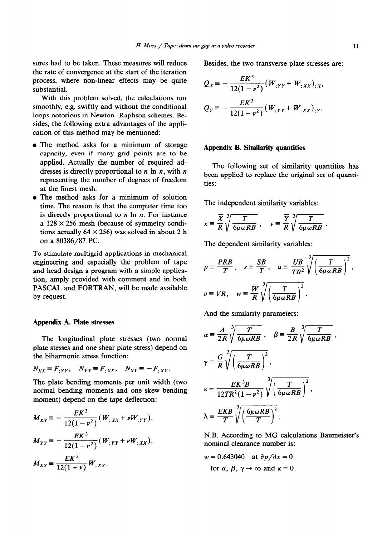sures had to be taken. These measures will reduce the rate of convergence at the start of the iteration process, where non-linear effects may be quite substantial.

With this problem solved, the calculations run smoothly, e.g. swiftly and without the conditional loops notorious in Newton-Raphson schemes. Besides, the following extra advantages of the application of this method may be mentioned:

- The method asks for a minimum of storage capacity, even if many grid points are to be applied. Actually the number of required addresses is directly proportional to  $n \ln n$ , with  $n$ representing the number of degrees of freedom at the finest mesh.
- The method asks for a minimum of solution time. The reason is that the computer time too is directly proportional to  $n \ln n$ . For instance a 128 **x** 256 mesh (because of symmetry conditions actually  $64 \times 256$ ) was solved in about 2 h on a 80386/87 PC.

To stimulate multigrid applications in mechanical engineering and especially the problem of tape and head design a program with a simple application, amply provided with comment and in both PASCAL and FORTRAN, will be made available by request.

#### **Appendix A. Plate stresses**

The longitudinal plate stresses (two normal plate stesses and one shear plate stress) depend on the biharmonic stress function:

$$
N_{XX} \equiv F_{;YY}, \quad N_{YY} \equiv F_{;XX}, \quad N_{XY} \equiv -F_{;XY}.
$$

The plate bending moments per unit width (two normal bending moments and one skew bending moment) depend on the tape deflection:

$$
M_{XX} = -\frac{EK^3}{12(1 - v^2)} (W_{;XX} + vW_{;YY}),
$$
  
\n
$$
M_{YY} = -\frac{EK^3}{12(1 - v^2)} (W_{;YY} + vW_{;XX}),
$$
  
\n
$$
M_{XY} = \frac{EK^3}{12(1 + v)} W_{;XY}.
$$

Besides, the two transverse plate stresses are:

$$
Q_X = -\frac{EK^3}{12(1-\nu^2)} (W_{;YY} + W_{;XX})_{;X},
$$
  
\n
$$
Q_Y = -\frac{EK^3}{12(1-\nu^2)} (W_{;YY} + W_{;XX})_{;Y}.
$$

# **Appendix B. Similarity quantities**

The following set of similarity quantities has been applied to replace the original set of quantities:

The independent similarity variables:

$$
x = \frac{\overline{X}}{R} \sqrt[3]{\frac{T}{6\mu \omega RB}} , \quad y = \frac{\overline{Y}}{R} \sqrt[3]{\frac{T}{6\mu \omega RB}}
$$

The dependent similarity variables:

$$
p \equiv \frac{PRB}{T}, \quad s \equiv \frac{SB}{T}, \quad u \equiv \frac{UB}{TR^2} \sqrt[3]{\left(\frac{T}{6\mu \omega RB}\right)^2},
$$
  

$$
v \equiv VR, \quad w \equiv \frac{\overline{W}}{R} \sqrt[3]{\left(\frac{T}{6\mu \omega RB}\right)^2}.
$$

And the similarity parameters:

$$
\alpha = \frac{A}{2R} \sqrt[3]{\frac{T}{6\mu \omega RB}}, \quad \beta = \frac{B}{2R} \sqrt[3]{\frac{T}{6\mu \omega RB}},
$$
  

$$
\gamma = \frac{G}{R} \sqrt[3]{\left(\frac{T}{6\mu \omega RB}\right)^2},
$$
  

$$
\kappa = \frac{EK^3B}{12TR^2(1 - \nu^2)} \sqrt[3]{\left(\frac{T}{6\mu \omega RB}\right)^2},
$$
  

$$
\lambda = \frac{EKB}{T} \sqrt[3]{\left(\frac{6\mu \omega RB}{T}\right)^2}.
$$

N.B. According to MG calculations Baumeister's nominal clearance number is:

$$
w = 0.643040 \quad \text{at } \partial p / \partial x = 0
$$
  
for  $\alpha$ ,  $\beta$ ,  $\gamma \rightarrow \infty$  and  $\kappa = 0$ .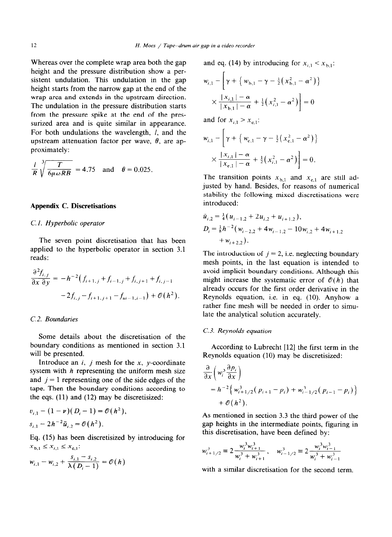Whereas over the complete wrap area both the gap height and the pressure distribution show a persistent undulation. This undulation in the gap height starts from the narrow gap at the end of the wrap area and extends in the upstream direction. The undulation in the pressure distribution starts from the pressure spike at the end of the pressurized area and is quite similar in appearance. For both undulations the wavelength, I, and the upstream attenuation factor per wave,  $\theta$ , are approximately:

$$
\frac{l}{R}\sqrt[3]{\frac{T}{6\mu\omega RB}} = 4.75 \text{ and } \theta = 0.025.
$$

# **Appendix C. Discretisations**

# **C. I.** *Hyperbolic operator*

The seven point discretisation that has been applied to the hyperbolic operator in section 3.1 reads:

$$
\frac{\partial^2 f_{i,j}}{\partial x \partial y} = -h^{-2} \left( f_{i+1,j} + f_{i-1,j} + f_{i,j+1} + f_{i,j-1} \right)
$$

$$
-2f_{i,j} - f_{i+1,j+1} - f_{ui-1,i-1} \right) + \mathcal{O}(h^2).
$$

## **C. 2.** *Boundaries*

Some details about the discretisation of the boundary conditions as mentioned in section 3.1 will be presented.

Introduce an  $i$ ,  $j$  mesh for the  $x$ ,  $y$ -coordinate system with  $h$  representing the uniform mesh size and  $j = 1$  representing one of the side edges of the tape. Then the boundary conditions according to the eqs. (11) and (12) may be discretisized:

$$
v_{i,1} - (1 - \nu)(D_i - 1) = \mathcal{O}(h^2),
$$
  
\n
$$
s_{i,1} - 2h^{-2}\tilde{u}_{i,2} = \mathcal{O}(h^2).
$$

Eq. (15) has been discretisized by introducing for  $x_{b,1} \le x_{i,1} \le x_{e,1}$ :

$$
w_{i,1} - w_{i,2} + \frac{s_{i,1} - s_{i,2}}{\lambda (D_i - 1)} = \mathcal{O}(h)
$$

and eq. (14) by introducing for  $x_{i,1} < x_{b,1}$ :

$$
w_{i,1} - \left[ \gamma + \left\{ w_{b,1} - \gamma - \frac{1}{2} \left( x_{b,1}^2 - \alpha^2 \right) \right\} \times \frac{|x_{i,1}| - \alpha}{|x_{b,1}| - \alpha} + \frac{1}{2} \left( x_{i,1}^2 - \alpha^2 \right) \right] = 0
$$

and for  $x_{i,1} > x_{i,1}$ :

 $\sim$   $\sim$ 

$$
w_{i,1} - \left[ \gamma + \left\{ w_{e,1} - \gamma - \frac{1}{2} \left( x_{e,1}^2 - \alpha^2 \right) \right\} \times \frac{|x_{i,1}| - \alpha}{|x_{e,1}| - \alpha} + \frac{1}{2} \left( x_{i,1}^2 - \alpha^2 \right) \right] = 0.
$$

The transition points  $x_{b,1}$  and  $x_{e,1}$  are still adjusted by hand. Besides, for reasons of numerical stability the following mixed discretisations were introduced:

$$
\tilde{u}_{i,2} = \frac{1}{4} (u_{i-1,2} + 2u_{i,2} + u_{i+1,2}),
$$
  
\n
$$
D_i = \frac{1}{8} h^{-2} (w_{i-2,2} + 4w_{i-1,2} - 10w_{i,2} + 4w_{i+1,2}) + w_{i+2,2}).
$$

The introduction of  $j = 2$ , i.e. neglecting boundary mesh points, in the last equation is intended to avoid implicit boundary conditions. Although this might increase the systematic error of  $\mathcal{O}(h)$  that already occurs for the first order derivative in the Reynolds equation, i.e. in eq. (10). Anyhow a rather fine mesh will be needed in order to simulate the analytical solution accurately.

#### *C.3. Reynolds equation*

According to Lubrecht [12] the first term in the Reynolds equation (10) may be discretisized:

$$
\frac{\partial}{\partial x} \left( w_i^3 \frac{\partial p_i}{\partial x} \right)
$$
\n
$$
= h^{-2} \left\{ w_{i+1/2}^3 (p_{i+1} - p_i) + w_{i-1/2}^3 (p_{i-1} - p_i) \right\}
$$
\n
$$
+ \mathcal{O}(h^2).
$$

As mentioned in section 3.3 the third power of the gap heights in the intermediate points, figuring in this discretisation, have been defined by:

$$
w_{i+1/2}^3 \equiv 2 \frac{w_i^3 w_{i+1}^3}{w_i^3 + w_{i+1}^3}, \quad w_{i-1/2}^3 \equiv 2 \frac{w_i^3 w_{i-1}^3}{w_i^3 + w_{i-1}^3}
$$

with a similar discretisation for the second term.